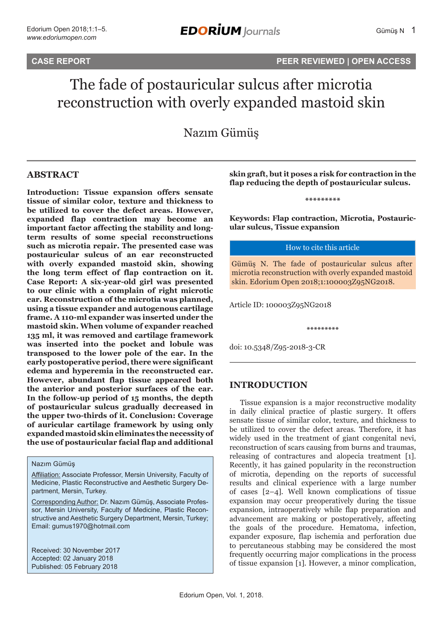# **CASE REPORT PEER REVIEWED | OPEN ACCESS**

# The fade of postauricular sulcus after microtia reconstruction with overly expanded mastoid skin

Nazım Gümüş

## **ABSTRACT**

**Introduction: Tissue expansion offers sensate tissue of similar color, texture and thickness to be utilized to cover the defect areas. However, expanded flap contraction may become an important factor affecting the stability and longterm results of some special reconstructions such as microtia repair. The presented case was postauricular sulcus of an ear reconstructed with overly expanded mastoid skin, showing the long term effect of flap contraction on it. Case Report: A six-year-old girl was presented to our clinic with a complain of right microtic ear. Reconstruction of the microtia was planned, using a tissue expander and autogenous cartilage frame. A 110-ml expander was inserted under the mastoid skin. When volume of expander reached 135 ml, it was removed and cartilage framework was inserted into the pocket and lobule was transposed to the lower pole of the ear. In the early postoperative period, there were significant edema and hyperemia in the reconstructed ear. However, abundant flap tissue appeared both the anterior and posterior surfaces of the ear. In the follow-up period of 15 months, the depth of postauricular sulcus gradually decreased in the upper two-thirds of it. Conclusion: Coverage of auricular cartilage framework by using only expanded mastoid skin eliminates the necessity of the use of postauricular facial flap and additional** 

#### Nazım Gümüş

Affiliation: Associate Professor, Mersin University, Faculty of Medicine, Plastic Reconstructive and Aesthetic Surgery Department, Mersin, Turkey.

Corresponding Author: Dr. Nazım Gümüş, Associate Professor, Mersin University, Faculty of Medicine, Plastic Reconstructive and Aesthetic Surgery Department, Mersin, Turkey; Email: gumus1970@hotmail.com

Received: 30 November 2017 Accepted: 02 January 2018 Published: 05 February 2018

**skin graft, but it poses a risk for contraction in the flap reducing the depth of postauricular sulcus.**

**\*\*\*\*\*\*\*\*\***

**Keywords: Flap contraction, Microtia, Postauricular sulcus, Tissue expansion**

#### How to cite this article

Gümüş N. The fade of postauricular sulcus after microtia reconstruction with overly expanded mastoid skin. Edorium Open 2018;1:100003Z95NG2018.

**\*\*\*\*\*\*\*\*\***

Article ID: 100003Z95NG2018

doi: 10.5348/Z95-2018-3-CR

## **INTRODUCTION**

Tissue expansion is a major reconstructive modality in daily clinical practice of plastic surgery. It offers sensate tissue of similar color, texture, and thickness to be utilized to cover the defect areas. Therefore, it has widely used in the treatment of giant congenital nevi, reconstruction of scars causing from burns and traumas, releasing of contractures and alopecia treatment [1]. Recently, it has gained popularity in the reconstruction of microtia, depending on the reports of successful results and clinical experience with a large number of cases [2–4]. Well known complications of tissue expansion may occur preoperatively during the tissue expansion, intraoperatively while flap preparation and advancement are making or postoperatively, affecting the goals of the procedure. Hematoma, infection, expander exposure, flap ischemia and perforation due to percutaneous stabbing may be considered the most frequently occurring major complications in the process of tissue expansion [1]. However, a minor complication,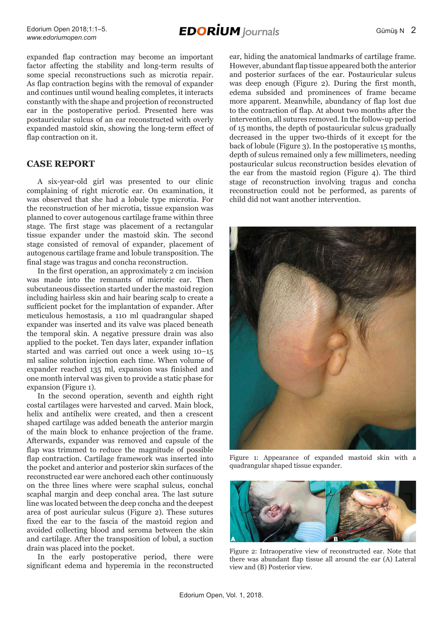expanded flap contraction may become an important factor affecting the stability and long-term results of some special reconstructions such as microtia repair. As flap contraction begins with the removal of expander and continues until wound healing completes, it interacts constantly with the shape and projection of reconstructed ear in the postoperative period. Presented here was postauricular sulcus of an ear reconstructed with overly expanded mastoid skin, showing the long-term effect of flap contraction on it.

# **CASE REPORT**

A six-year-old girl was presented to our clinic complaining of right microtic ear. On examination, it was observed that she had a lobule type microtia. For the reconstruction of her microtia, tissue expansion was planned to cover autogenous cartilage frame within three stage. The first stage was placement of a rectangular tissue expander under the mastoid skin. The second stage consisted of removal of expander, placement of autogenous cartilage frame and lobule transposition. The final stage was tragus and concha reconstruction.

In the first operation, an approximately 2 cm incision was made into the remnants of microtic ear. Then subcutaneous dissection started under the mastoid region including hairless skin and hair bearing scalp to create a sufficient pocket for the implantation of expander. After meticulous hemostasis, a 110 ml quadrangular shaped expander was inserted and its valve was placed beneath the temporal skin. A negative pressure drain was also applied to the pocket. Ten days later, expander inflation started and was carried out once a week using 10–15 ml saline solution injection each time. When volume of expander reached 135 ml, expansion was finished and one month interval was given to provide a static phase for expansion (Figure 1).

In the second operation, seventh and eighth right costal cartilages were harvested and carved. Main block, helix and antihelix were created, and then a crescent shaped cartilage was added beneath the anterior margin of the main block to enhance projection of the frame. Afterwards, expander was removed and capsule of the flap was trimmed to reduce the magnitude of possible flap contraction. Cartilage framework was inserted into the pocket and anterior and posterior skin surfaces of the reconstructed ear were anchored each other continuously on the three lines where were scaphal sulcus, conchal scaphal margin and deep conchal area. The last suture line was located between the deep concha and the deepest area of post auricular sulcus (Figure 2). These sutures fixed the ear to the fascia of the mastoid region and avoided collecting blood and seroma between the skin and cartilage. After the transposition of lobul, a suction drain was placed into the pocket.

In the early postoperative period, there were significant edema and hyperemia in the reconstructed ear, hiding the anatomical landmarks of cartilage frame. However, abundant flap tissue appeared both the anterior and posterior surfaces of the ear. Postauricular sulcus was deep enough (Figure 2). During the first month, edema subsided and prominences of frame became more apparent. Meanwhile, abundancy of flap lost due to the contraction of flap. At about two months after the intervention, all sutures removed. In the follow-up period of 15 months, the depth of postauricular sulcus gradually decreased in the upper two-thirds of it except for the back of lobule (Figure 3). In the postoperative 15 months, depth of sulcus remained only a few millimeters, needing postauricular sulcus reconstruction besides elevation of the ear from the mastoid region (Figure 4). The third stage of reconstruction involving tragus and concha reconstruction could not be performed, as parents of child did not want another intervention.



Figure 1: Appearance of expanded mastoid skin with a quadrangular shaped tissue expander.



Figure 2: Intraoperative view of reconstructed ear. Note that there was abundant flap tissue all around the ear (A) Lateral view and (B) Posterior view.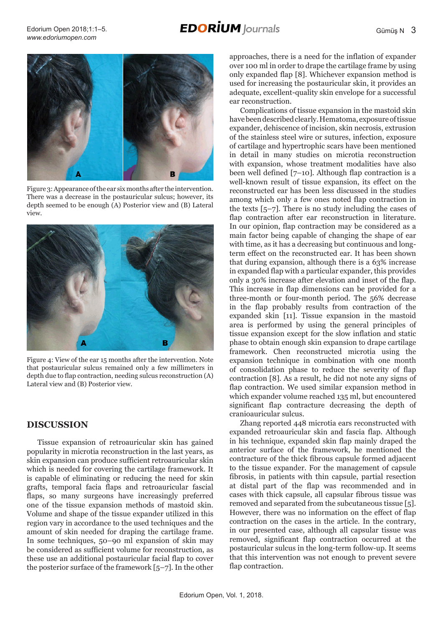# **EDORIUM** Journals





Figure 3: Appearance of the ear six months after the intervention. There was a decrease in the postauricular sulcus; however, its depth seemed to be enough (A) Posterior view and (B) Lateral view.



Figure 4: View of the ear 15 months after the intervention. Note that postauricular sulcus remained only a few millimeters in depth due to flap contraction, needing sulcus reconstruction (A) Lateral view and (B) Posterior view.

## **DISCUSSION**

Tissue expansion of retroauricular skin has gained popularity in microtia reconstruction in the last years, as skin expansion can produce sufficient retroauricular skin which is needed for covering the cartilage framework. It is capable of eliminating or reducing the need for skin grafts, temporal facia flaps and retroauricular fascial flaps, so many surgeons have increasingly preferred one of the tissue expansion methods of mastoid skin. Volume and shape of the tissue expander utilized in this region vary in accordance to the used techniques and the amount of skin needed for draping the cartilage frame. In some techniques, 50–90 ml expansion of skin may be considered as sufficient volume for reconstruction, as these use an additional postauricular facial flap to cover the posterior surface of the framework [5–7]. In the other

approaches, there is a need for the inflation of expander over 100 ml in order to drape the cartilage frame by using only expanded flap [8]. Whichever expansion method is used for increasing the postauricular skin, it provides an adequate, excellent-quality skin envelope for a successful ear reconstruction.

Complications of tissue expansion in the mastoid skin have been described clearly. Hematoma, exposure of tissue expander, dehiscence of incision, skin necrosis, extrusion of the stainless steel wire or sutures, infection, exposure of cartilage and hypertrophic scars have been mentioned in detail in many studies on microtia reconstruction with expansion, whose treatment modalities have also been well defined [7–10]. Although flap contraction is a well-known result of tissue expansion, its effect on the reconstructed ear has been less discussed in the studies among which only a few ones noted flap contraction in the texts [5–7]. There is no study including the cases of flap contraction after ear reconstruction in literature. In our opinion, flap contraction may be considered as a main factor being capable of changing the shape of ear with time, as it has a decreasing but continuous and longterm effect on the reconstructed ear. It has been shown that during expansion, although there is a 63% increase in expanded flap with a particular expander, this provides only a 30% increase after elevation and inset of the flap. This increase in flap dimensions can be provided for a three-month or four-month period. The 56% decrease in the flap probably results from contraction of the expanded skin [11]. Tissue expansion in the mastoid area is performed by using the general principles of tissue expansion except for the slow inflation and static phase to obtain enough skin expansion to drape cartilage framework. Chen reconstructed microtia using the expansion technique in combination with one month of consolidation phase to reduce the severity of flap contraction [8]. As a result, he did not note any signs of flap contraction. We used similar expansion method in which expander volume reached 135 ml, but encountered significant flap contracture decreasing the depth of cranioauricular sulcus.

Zhang reported 448 microtia ears reconstructed with expanded retroauricular skin and fascia flap. Although in his technique, expanded skin flap mainly draped the anterior surface of the framework, he mentioned the contracture of the thick fibrous capsule formed adjacent to the tissue expander. For the management of capsule fibrosis, in patients with thin capsule, partial resection at distal part of the flap was recommended and in cases with thick capsule, all capsular fibrous tissue was removed and separated from the subcutaneous tissue [5]. However, there was no information on the effect of flap contraction on the cases in the article. In the contrary, in our presented case, although all capsular tissue was removed, significant flap contraction occurred at the postauricular sulcus in the long-term follow-up. It seems that this intervention was not enough to prevent severe flap contraction.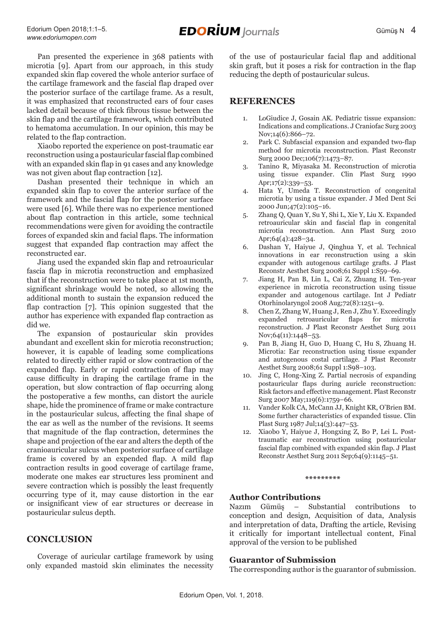Pan presented the experience in 368 patients with microtia [9]. Apart from our approach, in this study expanded skin flap covered the whole anterior surface of the cartilage framework and the fascial flap draped over the posterior surface of the cartilage frame. As a result, it was emphasized that reconstructed ears of four cases lacked detail because of thick fibrous tissue between the skin flap and the cartilage framework, which contributed to hematoma accumulation. In our opinion, this may be related to the flap contraction.

Xiaobo reported the experience on post-traumatic ear reconstruction using a postauricular fascial flap combined with an expanded skin flap in 91 cases and any knowledge was not given about flap contraction [12].

Dashan presented their technique in which an expanded skin flap to cover the anterior surface of the framework and the fascial flap for the posterior surface were used [6]. While there was no experience mentioned about flap contraction in this article, some technical recommendations were given for avoiding the contractile forces of expanded skin and facial flaps. The information suggest that expanded flap contraction may affect the reconstructed ear.

Jiang used the expanded skin flap and retroauricular fascia flap in microtia reconstruction and emphasized that if the reconstruction were to take place at 1st month, significant shrinkage would be noted, so allowing the additional month to sustain the expansion reduced the flap contraction [7]. This opinion suggested that the author has experience with expanded flap contraction as did we.

The expansion of postauricular skin provides abundant and excellent skin for microtia reconstruction; however, it is capable of leading some complications related to directly either rapid or slow contraction of the expanded flap. Early or rapid contraction of flap may cause difficulty in draping the cartilage frame in the operation, but slow contraction of flap occurring along the postoperative a few months, can distort the auricle shape, hide the prominence of frame or make contracture in the postauricular sulcus, affecting the final shape of the ear as well as the number of the revisions. It seems that magnitude of the flap contraction, determines the shape and projection of the ear and alters the depth of the cranioauricular sulcus when posterior surface of cartilage frame is covered by an expended flap. A mild flap contraction results in good coverage of cartilage frame, moderate one makes ear structures less prominent and severe contraction which is possibly the least frequently occurring type of it, may cause distortion in the ear or insignificant view of ear structures or decrease in postauricular sulcus depth.

## **CONCLUSION**

Coverage of auricular cartilage framework by using only expanded mastoid skin eliminates the necessity of the use of postauricular facial flap and additional skin graft, but it poses a risk for contraction in the flap reducing the depth of postauricular sulcus.

# **REFERENCES**

- 1. LoGiudice J, Gosain AK. Pediatric tissue expansion: Indications and complications. J Craniofac Surg 2003 Nov;14(6):866-72.
- 2. Park C. Subfascial expansion and expanded two-flap method for microtia reconstruction. Plast Reconstr Surg 2000 Dec;106(7):1473–87.
- 3. Tanino R, Miyasaka M. Reconstruction of microtia using tissue expander. Clin Plast Surg 1990 Apr;17(2):339–53.
- 4. Hata Y, Umeda T. Reconstruction of congenital microtia by using a tissue expander. J Med Dent Sci 2000 Jun;47(2):105–16.
- 5. Zhang Q, Quan Y, Su Y, Shi L, Xie Y, Liu X. Expanded retroauricular skin and fascial flap in congenital microtia reconstruction. Ann Plast Surg 2010 Apr;64(4):428–34.
- 6. Dashan Y, Haiyue J, Qinghua Y, et al. Technical innovations in ear reconstruction using a skin expander with autogenous cartilage grafts. J Plast Reconstr Aesthet Surg 2008;61 Suppl 1:S59–69.
- 7. Jiang H, Pan B, Lin L, Cai Z, Zhuang H. Ten-year experience in microtia reconstruction using tissue expander and autogenous cartilage. Int J Pediatr Otorhinolaryngol 2008 Aug;72(8):1251–9.
- 8. Chen Z, Zhang W, Huang J, Ren J, Zhu Y. Exceedingly expanded retroauricular flaps for microtia reconstruction. J Plast Reconstr Aesthet Surg 2011 Nov;64(11):1448–53.
- 9. Pan B, Jiang H, Guo D, Huang C, Hu S, Zhuang H. Microtia: Ear reconstruction using tissue expander and autogenous costal cartilage. J Plast Reconstr Aesthet Surg 2008;61 Suppl 1:S98–103.
- 10. Jing C, Hong-Xing Z. Partial necrosis of expanding postauricular flaps during auricle reconstruction: Risk factors and effective management. Plast Reconstr Surg 2007 May;119(6):1759–66.
- 11. Vander Kolk CA, McCann JJ, Knight KR, O'Brien BM. Some further characteristics of expanded tissue. Clin Plast Surg 1987 Jul;14(3):447–53.
- 12. Xiaobo Y, Haiyue J, Hongxing Z, Bo P, Lei L. Posttraumatic ear reconstruction using postauricular fascial flap combined with expanded skin flap. J Plast Reconstr Aesthet Surg 2011 Sep;64(9):1145–51.

#### **\*\*\*\*\*\*\*\*\***

#### **Author Contributions**

Nazım Gümüş – Substantial contributions to conception and design, Acquisition of data, Analysis and interpretation of data, Drafting the article, Revising it critically for important intellectual content, Final approval of the version to be published

#### **Guarantor of Submission**

The corresponding author is the guarantor of submission.